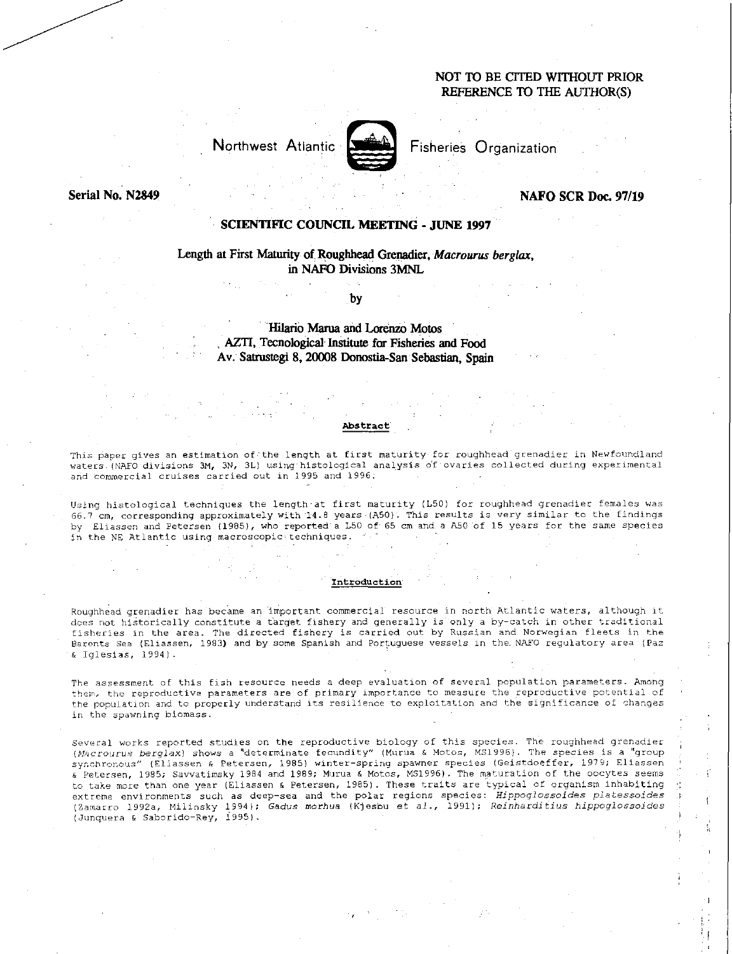# **NOT TO BE CITED WITHOUT PRIOR REFERENCE TO THE AUTHOR(S)**

Northwest Atlantic **Atlantic** Fisheries Organization



**Serial No. N2849 <b>NAFO SCR Doc. 97/19 NAFO SCR Doc. 97/19** 

## **SCIENTIFIC COUNCIL MEETING - JUNE 1997**

# **Length at First Maturity of Roughhead Grenadier,** *Macrourus berglax,*  **in NAFO Divisions 3MNL**

**by** 

**Hilario Mania and Lorenzo Motos AZTI, Tecnological Institute for Fisheries and Food**  Av. Satrustegi 8, 20008 Donostia-San Sebastian, Spain

## **Abstract**

This paper gives an estimation of'the length at first maturity for roughhead grenadier in Newfoundland waters (NAFO divisions 3M, 3N, 3L) using histological analysis of ovaries collected during experimental and commercial cruises carried out in 1995 and 1996:

Using histological techniques the length'at first maturity (L50) for roughhead grenadier females was 66.7 cm, corresponding approximately with 14.8 years (A50). This results is very similar to the findings by Eliassen and Petersen (1985), who reported'a L50 of 65 cm and a A50 'of 15 years for the same species in the NE Atlantic using macroscopic techniques.

### **Introduction**

Roughhead grenadier has became an important commercial resource in north Atlantic waters, although it does not historically constitute a target fishery and generally is only a by-catch in other traditional fisheries in the area. The directed fishery is carried out by Russian and Norwegian fleets in the Barents Sea (Eliassen, 1983) and by some Spanish and Portuguese vessels in the NAFO regulatory area (Paz & Iglesias, 1994).

The assessment of this fish resource needs a deep evaluation of several population parameters. Among them, the reproductive parameters are of primary importance to measure the reproductive potential of the population and to properly understand its resilience to exploitation and the significance of changes in the spawning biomass.

Several works reported studies on the reproductive biology of this species. The roughhead grenadier *(Mscrodrus berglax)* shows a 'determinate fecundity" (Murua & Motos, MS1996). The species is a "group synchronous" (Eliassen & Petersen, 1985) winter-spring spawner species (Geistdoeffer, 1979; Eliassen & Petersen, 1985; Savvatimsky 1984 and 1989; Murua & Motos, MS1996). The maturation of the oocytes seems to take more than one year (Eliassen & Petersen, 1985). These traits are typical of organism inhabiting extreme environments such as deep-sea and the polar regions species: *Hippoglossoides platessoides* (Zamarro 1992a, Milinsky 1994); Gadus *morhua* (Kjesbu et al., 1991); Reinharditius *hippoglossoides*  (Junquera & Saborido-Rey, 1995).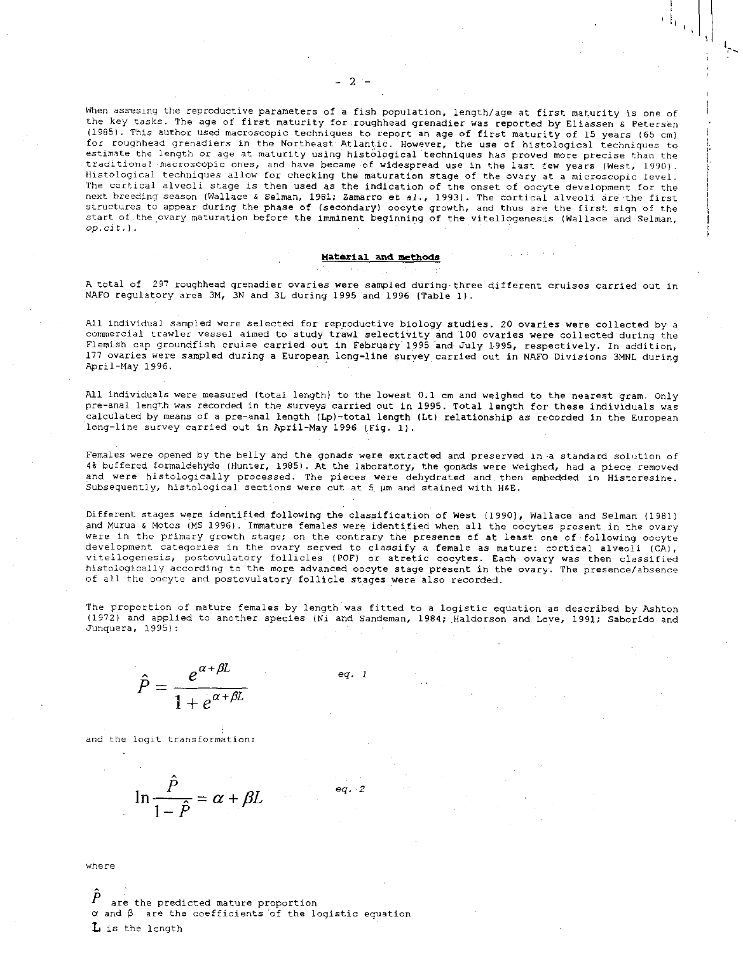When assesing the reproductive parameters of a fish population, length/age at first maturity is one of the key tasks. The age of first maturity for .roughhead grenadier was reported by Eliassen & Petersen (1985). This author used macroscopic techniques to report an age of first maturity of 15 years (65 cm) for roughhead grenadiers in the Northeast Atlantic. However, the use of histological techniques to estimate the length or age at maturity using histological techniques has proved more precise than the traditional macroscopic ones, and have became of widespread use in the last few years (West, 1990). Histological techniques allow for checking the maturation stage of the ovary at a microscopic level. The cortical alveoli stage *is* then used as the indication of the onset of oocyte development for the next breeding season (Wallace & Selman, 1981; Zamarro et al., 1993). The cortical alveoli are the first structures to appear during the phase of (secondary) oocyte growth, and thus are the first sign of the start of the ovary maturation before the imminent beginning of the vitellogenesis (Wallace and Selman, *op.cit.).* 

#### Material and methods

A total of 297 roughhead grenadier ovaries were sampled during three different cruises carried out in NAFO regulatory area 3M, 3N and 3L during 1995 and 1996 (Table 1).

All individual sampled were selected for reproductive biology studies. 20 ovaries were collected by a commercial trawler vessel aimed to study trawl selecti'vity and 100 ovaries were collected during the Flemish cap groundfish cruise carried out in February 1995 Ind July 1995, respectively. In addition, 177 ovaries were sampled during a European long-line survey carried out in NAFO Divisions 3MNL during April-May 1996.

All individuals were measured (total length) to the lowest 0.1 cm and weighed to the nearest gram. only pre-anal length was recorded in the surveys carried out in 1995. Total length for these individuals was calculated by means of a pre-anal length (Lp)-total length (Lt) relationship as recorded in the European long-line survey carried out in April-May 1996 (Fig. 1).

Females were opened by the belly and the gonads were extracted and preserved in a standard solution of 4% buffered formaldehyde (Hunter, 1985). At the laboratory, the gonads were weighed, had a piece removed and were histologically processed. The pieces were dehydrated and then embedded in Historesine. Subsequently, histological sections were cut at 5 um and stained with H&E.

Different stages were identified following the classification of West (1990), Wallace and Selman (1981) and Murua & Motes (MS 1996). Immature females were identified when all the oocytes present in the ovary were in the primary growth stage; on the contrary the presence of at least one of following oocyte development categories in the ovary served to classify a female as mature: cortical alveoli (CA), vitellogenesis, postovulatory follicles (POP) or atretic oocytes. Each ovary was then classified histologically according to the more advanced oocyte stage present in the ovary. The presence/absence of all the oocyte and postovulatory follicle stages were also recorded.

The proportion of mature females by length was fitted to a logistic equation as described by Ashton (1972) and applied to another species (Ni and Sandeman, 1984; Haldorson and. Love, 1991; Saborido and Junquera, 1995):

*eq. 2* 

$$
\hat{P} = \frac{e^{\alpha + \beta L}}{1 + e^{\alpha + \beta L}}
$$
 eq. 1

and the logit transformation:

$$
\ln \frac{\hat{P}}{1-\hat{P}} = \alpha + \beta L
$$

where

are the predicted mature proportion  $\alpha$  and  $\beta$  are the coefficients of the logistic equation *L* is the length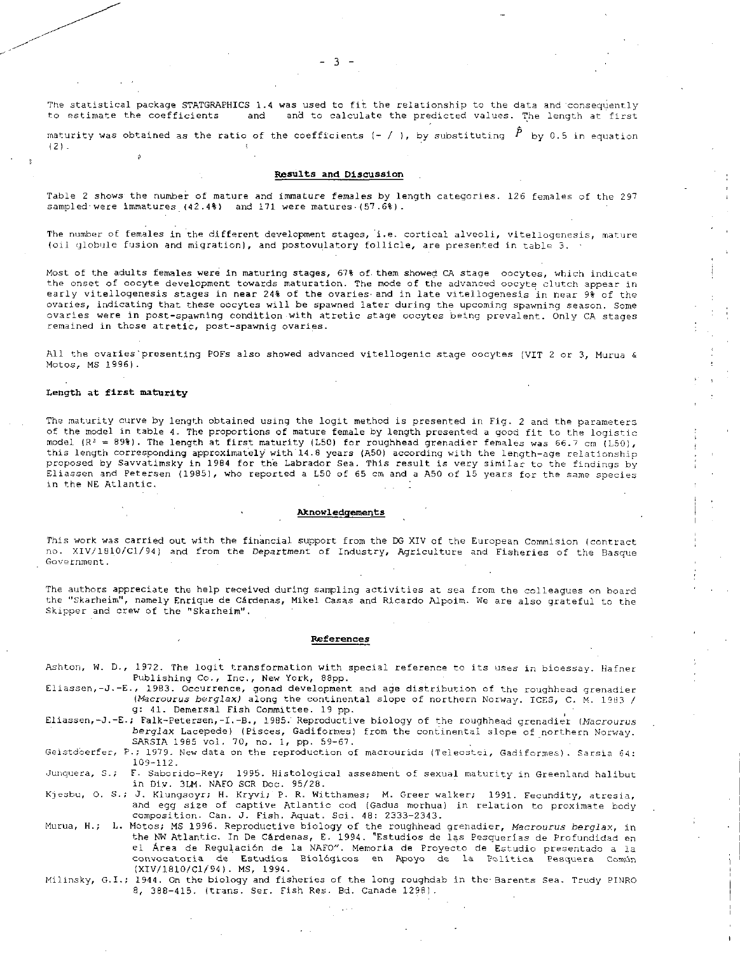The statistical package STATGRAPHICS 1.4 was used to fit the relationship to the data and consequently<br>to estimate the coefficients and and to calculate the predicted values. The length at first and to calculate the predicted values. The length at first

maturity was obtained as the ratio of the coefficients (- / ), by substituting  $|\tilde{P}|$  by 0.5 in equation (2).

#### Results and Discussion

Table 2 shows the number of mature and immature females by length categories. 126 females of the 297 sampled-were immatures  $(42.4% )$  and 171 were matures  $(57.6% )$ .

The number of females in the different development stages, i.e. cortical alveoli, vitellogenesis, mature (oil globule fusion and migration), and postovulatory follicle, are presented in table 3.

Most of the adults females were in maturing stages, 67% of. them showed CA stage oocytes, which indicate the onset of oocyte development towards maturation. The mode of the advanced oocyte clutch appear in early vitellogenesis stages in near 24% of the ovaries. and in late vitellogenesis in near 9% of the ovaries, indicating that these oocytes will be spawned later during the upcoming spawning season. Some ovaries were in post-spawning condition-with atretic stage oocytes being prevalent. Only CA stages remained in those atretic, post-spawnig ovaries.

All the ovaries'presenting POFs also showed advanced vitellogenic stage oocytes (VIT 2 or 3, Murua & Motos, MS 1996).

### Length at first maturity

The maturity curve by length obtained using the logit method is presented in Fig. 2 and the parameters of the model in table 4. The proportions of mature female by length presented a good fit to the logistic model (R<sup>2</sup> = 89%). The length at first maturity (L50) for roughhead grenadier females was 66.7 cm (L50), this length corresponding approximately with 14.8 years (A50) according with the length-age relationship proposed by Savvatimsky in 1984 for the Labrador Sea. This result is very similar to the findings by Eliassen and Petersen (1985), who reported a L50 of 65 cm and a A50 of 15 years for the same species<br>in the NE Atlantic.

### Aknowledgements

This work was carried out with the financial support from the DG XIV of the European Commision (contract no. XIV/1810/C1/94) and from the Department of Industry, Agriculture and Fisheries of the Basque Government.

The authors appreciate the help received during sampling activities at sea from the colleagues on board the "Skarheim", namely Enrique de Cardenas, Mikel Casas and Ricardo Alpoim. We are also grateful to the Skipper and crew of the "Skarheim".

#### References

- Ashton, W. D., 1972. The logit transformation with special reference to its uses in bioessay. Hafner Publishing Co., Inc., New York, 88pp.
- Eliassen,-J.-E., 1983. Occurrence, gonad development and age distribution of the roughhead grenadier *(Macrourus berglax)* along the continental slope of northern Norway. ICES, C. M. 1983 / g: 41. Demersal Fish Committee. 19 pp.

Eliassen,-J.-E.; Falk-Petersen,-I.-B., 1985.. Reproductive biology of the roughhead grenadier *(Macrourus berglax* Lacepede) (Pisces, Gadiformes) from the continental slope of northern Norway. SARSIA 1985 vol. 70, no. 1, pp. 59-67.

Geistdoerfer, P.; 1979. New data on the reproduction of macrourids (Teleostei, Gadiformes). Sarsia 64: 109-112.

Junquera, S.; F. Saborido-Rey; 1995. Histological assesment of sexual maturity in Greenland halibut in Div. 3LM. NAEO SCR Doc. 95/28.

Kjesbu, O. S.; *J.* Klungsoyr; H. Kryvi; P. R. Witthames; M. Greer walker; 1991. Fecundity, atresia, and egg size of captive Atlantic cod (Gadus morhua) in relation to proximate body composition. Can. J. Fish. Aquat. Sci. 48: 2333-2343.

Murua, H.; L. Motos; MS 1996. Reproductive biology of the roughhead grenadier, *Macrourus berglax,* in the NW Atlantic. In De Cardenas, E. 1994. "Estudios de las Pesquerias de Profundidad en el Area de Regulacion de la NAFO". Memoria de Proyecto de Estudio presentado a la convocatoria de Estudios Biológicos en Apoyo de la Política Pesquera Común (XIV/1810/C1/94). MS, 1994.

Milinsky, G.I.; 1944. On the biology and fisheries of the long roughdab in the-Barents Sea. Trudy PINRO 8, 388-415. (trans. Ser. Fish Res. Bd. Canade 1298).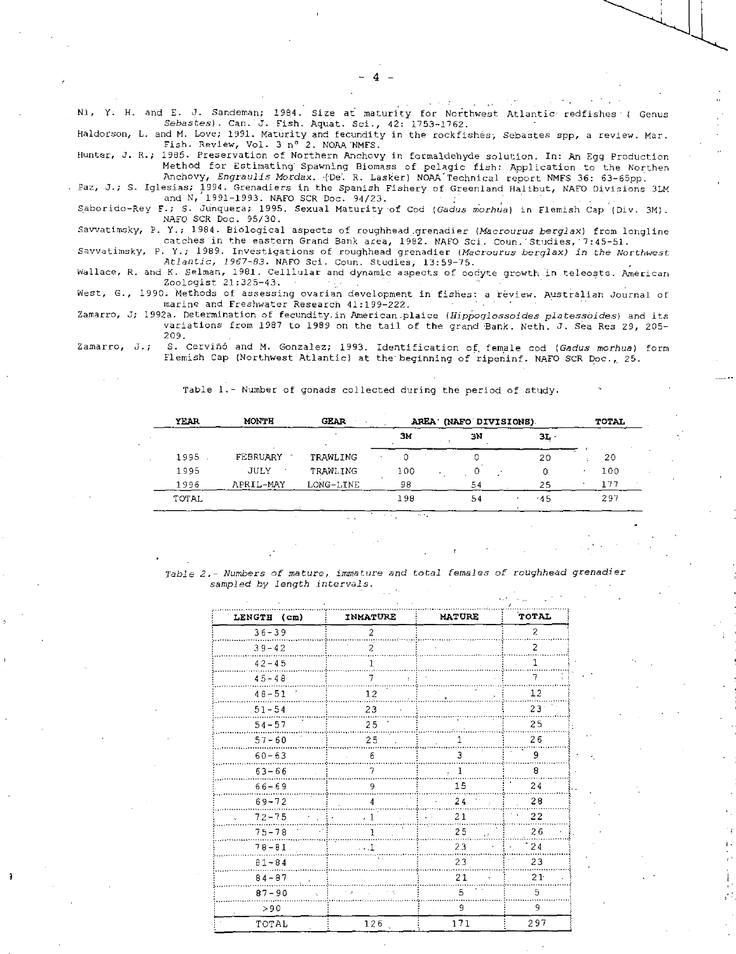Ni, Y. H. and E. J. Sandeman; 1984. Size at maturity for Northwest Atlantic redfishes ( Genus *Sebastes). Can.* J. Fish. Aquat. Sci., 42: 1753-1762.

4

Haldorson, L. and M. Love; 1991. Maturity and fecundity in the rockfishes-, Sebastes spp, a review. Mar. Fish. Review, Vol. 3 n° 2. NOAA'NMFS.

Hunter, *T.* R.; 1985. Preservation of Northern Anchovy in formaldehyde solution. In: An Egg Production Method for Estimating' Spawning Biomass of pelagic fish: Application to the Northen Anchovy, *Engraulis Mordax.* 1De'. R. Lasker) NOAA'Technical report NMFS 36: 63-65pp.

Paz, J.; S. Iglesias; 1994. Grenadiers in the Spanish Fishery of Greenland Halibut, NAFO Divisions 3LM and N, 1991-1993. NAFO SCR Doc. 94/23.

Saborido-Rey F.; S. Junquera; 1995. Sexual Maturity-of Cod *(Gadus morhua)* in Flemish Cap (Div. 3M). NAFO SCR Doc. 95/30.

Savvatimsky, P. Y.; 1984. Biological aspects of roughhead.grenadier *(Macrourus berglax)* from longline catches in the eastern Grand Bank area, 1982. NAFO Sci, Coun. Studies, 7:45-51.

Savvatimsky, P. Y.; 1989. Investigations of roughhead grenadier *(Macrourus berglax) in* the *Northwest Atlantic, 1967-83.* NAFO Sci. Coun. Studies, 13:59-75.

Wallace, R. and K. Selman, 1981. Celllular and dynamic aspects of oodyte growth in teleosts. American Zoologist 21:325-43.

West, G., 1990. Methods of assessing ovarian development in fishes: a review. Australian Journal of marine and Freshwater Research 41:199-222.

Zamarro, J; 1992a. Determination of fecundity.in American.plaice *(Hippoglossoides platesseides)* and its variations from 1987 to 1989 on the tail of the grand Sank. Neth. *J.* Sea Res 29, 205- 209.

Zamarro, J.; S. Cerviñó and M. Gonzalez; 1993. Identification of female cod *(Gadus morhua)* form Flemish Cap (Northwest Atlantic) at the'beginning of ripeninf. NAFO SCR Doc., 25.

| <b>YEAR</b> | <b>MONTH</b>      | <b>GEAR</b> |     | AREA (NAFO DIVISIONS) |        |     |  |  |  |  |
|-------------|-------------------|-------------|-----|-----------------------|--------|-----|--|--|--|--|
|             |                   |             | ЗΜ  | ЭN                    | $3L -$ |     |  |  |  |  |
| 1995        | FEBRUARY          | TRAWLING    |     | 0                     | 20     | 20  |  |  |  |  |
| 1995        | JULY<br>$\bullet$ | TRAWLING    | 100 |                       |        | 100 |  |  |  |  |
| 1996        | APRIL-MAY         | LONG-LINE   | 98  | 54                    | 25     | 177 |  |  |  |  |
| TOTAL       |                   |             | 198 | 54                    | .45    | 297 |  |  |  |  |

Table 1.- Number of gonads collected during the period of study.

*Table 2.- Numbers of mature, immature and total females of roughhead grenadier*  sampled by *length intervals.* 

| LENGTH (cm)         | <b>INMATURE</b> | <b>MATURE</b>                                   | TOTAL            |
|---------------------|-----------------|-------------------------------------------------|------------------|
| $36 - 39$           | $\overline{2}$  |                                                 | $\overline{c}$   |
| $39 - 42$           | $\overline{2}$  |                                                 | $\overline{2}$   |
| $42 - 45$           | 1               |                                                 | 1                |
| $45 - 48$           | 7<br>÷.         |                                                 | 7                |
| $48 - 51$           | 12              | ÷<br>side de la construcción de la construcción | 12               |
| $51 - 54$           | 23              |                                                 | 23               |
| $54 - 57$           | 25              | Report of the South County                      | 25               |
| $57 - 60$           | 25              | 1                                               | 26               |
| $60 - 63$           | 6               | 3                                               | 9                |
| $63 - 66$           | $\overline{7}$  | -1<br>$\mathbf{r}$ .                            | 8                |
| $66 - 69$           | 9               | 15 <sup>2</sup>                                 | 24               |
| $69 - 72$           | 4               | 24.                                             | 28               |
| $72 - 75$           | $\cdot$ 1       | 21                                              | 22               |
| $75 - 78$           | 1               | 25<br>$\tau$ :                                  | 26               |
| $78 - 81$ .         | $\cdots$ 1      | 23<br>$\mathbf{u}$ .                            | $\cdot$ 24<br>Đ, |
| $81 - 84$           | W               | 23                                              | 23               |
| $84 - 87$<br>. i    |                 | 21                                              | 21 <sup>°</sup>  |
| $87 - 90$<br>$\chi$ | r a             | 5                                               | 5                |
| > 90                |                 | 9                                               | 9                |
| TOTAL               | 126             | 171                                             | 297              |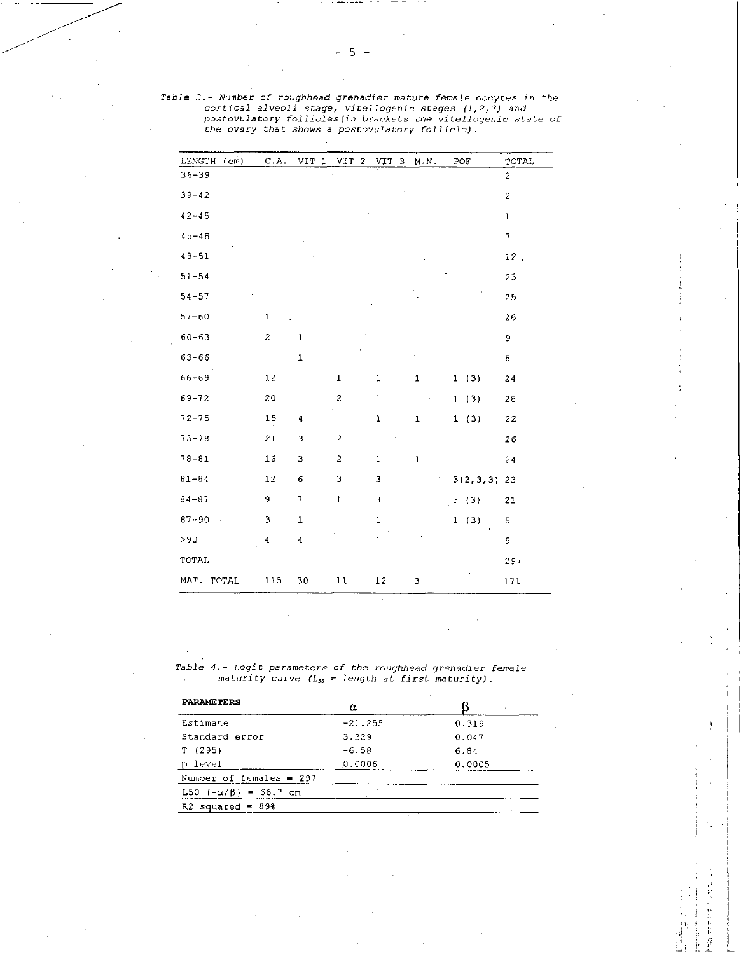|           |      | postovulatory follicles (in brackets the vitellogenic state<br>the ovary that shows a postovulatory follicle). |                  |            |                |       |  |     |      |                |
|-----------|------|----------------------------------------------------------------------------------------------------------------|------------------|------------|----------------|-------|--|-----|------|----------------|
| LENGTH    | (cm) | C.A.                                                                                                           | VIT <sub>1</sub> | <b>VIT</b> | $\overline{c}$ | VIT 3 |  | MN. | POF  | TOTAL          |
| 36-39     |      |                                                                                                                |                  |            |                |       |  |     |      | $\overline{c}$ |
| $39 - 42$ |      |                                                                                                                |                  |            |                |       |  |     |      | $\overline{c}$ |
| $42 - 45$ |      |                                                                                                                |                  |            |                |       |  |     |      | $\mathbf{1}$   |
| $45 - 48$ |      |                                                                                                                |                  |            |                |       |  |     |      | $\overline{7}$ |
| $48 - 51$ |      |                                                                                                                |                  |            |                |       |  |     |      | 12.            |
| $51 - 54$ |      |                                                                                                                |                  |            |                |       |  |     |      | 23             |
| $54 - 57$ |      |                                                                                                                |                  |            |                |       |  |     |      | 25             |
| $57 - 60$ |      | 1                                                                                                              |                  |            |                |       |  |     |      | 26             |
| $60 - 63$ |      | $\overline{c}$                                                                                                 | $\mathbf{1}$     |            |                |       |  |     |      | 9              |
| 63-66     |      |                                                                                                                | $\mathbf{1}$     |            |                |       |  |     |      | 8              |
| 66-69     |      | 12                                                                                                             |                  | 1          |                | T     |  | 1   | 1(3) | 24             |
|           |      |                                                                                                                |                  |            |                |       |  |     |      |                |

69-72 20 2 1 1 (3) 28 72-75 15 4 1 1 I (3) 22 75-78 21 3 2 26 78-81 16 3 2 1 1 24 81-84 12 6 3 3 3(2,3,3) 23 84-87 9 7 1 3 3 (3) 21 87-90 3 1 1 1 (3) 5 >90 4 4 1 9 TOTAL 297 MAT. TOTAL 115 30 11 12 3 171

*Table 3.- Number of roughhead grenadier mature female oocytes in the cortical alveoli stage, vitellogenic stages (1,2,3) and postovulatory follicles(in brackets the vitellogenic* state *of* 

Table *4.- Logit parameters of the roughhead grenadier female*  maturity *curve (L5 ,* = length at *first maturity).* 

| <b>PARAMETERS</b>         | α         |        |
|---------------------------|-----------|--------|
| Estimate                  | $-21.255$ | 0.319  |
| Standard error            | 3.229     | 0.047  |
| T(295)                    | $-6.58$   | 6.84   |
| p level                   | 0.0006    | 0.0005 |
| Number of females = $297$ |           |        |
| L50 (-α/β) = 66.7 cm      |           |        |
| $R2$ squared = 89%        |           |        |

ときの エキア ひょう

ξ. ţ

ł j

 $5 -$